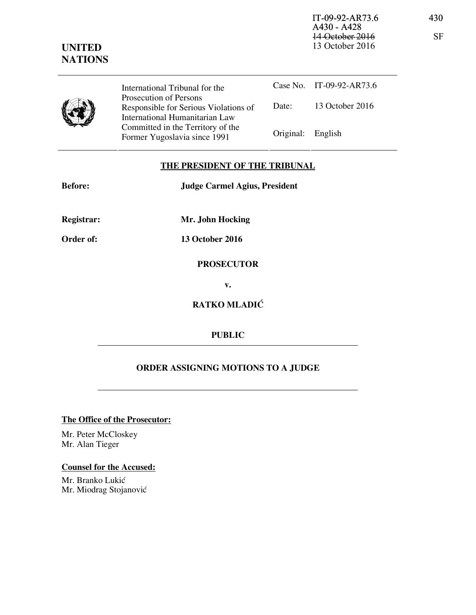IT-09-92-AR73.6 430 A430 - A428 14-October-2016 SF 13 October 2016



Case No. IT-09-92-AR73.6 Date: 13 October 2016 International Tribunal for the Prosecution of Persons Responsible for Serious Violations of International Humanitarian Law Committed in the Territory of the Former Yugoslavia since 1991 Original: English

## **THE PRESIDENT OF THE TRIBUNAL**

| <b>Before:</b>    | <b>Judge Carmel Agius, President</b> |
|-------------------|--------------------------------------|
| <b>Registrar:</b> | Mr. John Hocking                     |
| Order of:         | <b>13 October 2016</b>               |

**PROSECUTOR v.** 

**RATKO MLADIĆ** 

## **PUBLIC**

## **ORDER ASSIGNING MOTIONS TO A JUDGE**

**The Office of the Prosecutor:**

Mr. Peter McCloskey Mr. Alan Tieger

## **Counsel for the Accused:**

Mr. Branko Lukić Mr. Miodrag Stojanović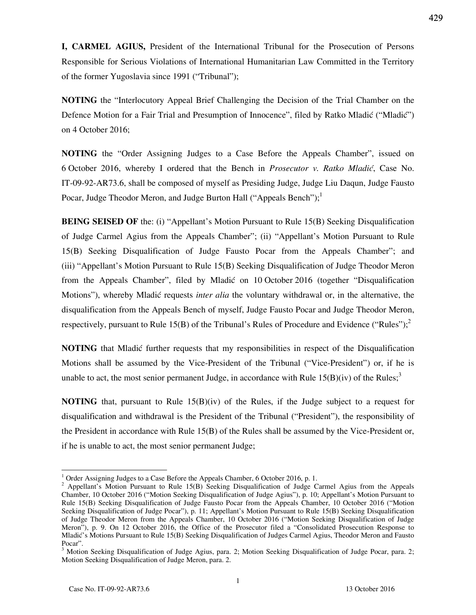**I, CARMEL AGIUS,** President of the International Tribunal for the Prosecution of Persons Responsible for Serious Violations of International Humanitarian Law Committed in the Territory of the former Yugoslavia since 1991 ("Tribunal");

**NOTING** the "Interlocutory Appeal Brief Challenging the Decision of the Trial Chamber on the Defence Motion for a Fair Trial and Presumption of Innocence", filed by Ratko Mladić ("Mladić") on 4 October 2016;

**NOTING** the "Order Assigning Judges to a Case Before the Appeals Chamber", issued on 6 October 2016, whereby I ordered that the Bench in *Prosecutor v. Ratko Mladić*, Case No. IT-09-92-AR73.6, shall be composed of myself as Presiding Judge, Judge Liu Daqun, Judge Fausto Pocar, Judge Theodor Meron, and Judge Burton Hall ("Appeals Bench");<sup>1</sup>

**BEING SEISED OF** the: (i) "Appellant's Motion Pursuant to Rule 15(B) Seeking Disqualification of Judge Carmel Agius from the Appeals Chamber"; (ii) "Appellant's Motion Pursuant to Rule 15(B) Seeking Disqualification of Judge Fausto Pocar from the Appeals Chamber"; and (iii) "Appellant's Motion Pursuant to Rule 15(B) Seeking Disqualification of Judge Theodor Meron from the Appeals Chamber", filed by Mladić on 10 October 2016 (together "Disqualification" Motions"), whereby Mladić requests *inter alia* the voluntary withdrawal or, in the alternative, the disqualification from the Appeals Bench of myself, Judge Fausto Pocar and Judge Theodor Meron, respectively, pursuant to Rule 15(B) of the Tribunal's Rules of Procedure and Evidence ("Rules");<sup>2</sup>

**NOTING** that Mladic further requests that my responsibilities in respect of the Disqualification Motions shall be assumed by the Vice-President of the Tribunal ("Vice-President") or, if he is unable to act, the most senior permanent Judge, in accordance with Rule  $15(B)(iv)$  of the Rules;<sup>3</sup>

**NOTING** that, pursuant to Rule 15(B)(iv) of the Rules, if the Judge subject to a request for disqualification and withdrawal is the President of the Tribunal ("President"), the responsibility of the President in accordance with Rule 15(B) of the Rules shall be assumed by the Vice-President or, if he is unable to act, the most senior permanent Judge;

 $\overline{a}$ 

429

<sup>&</sup>lt;sup>1</sup> Order Assigning Judges to a Case Before the Appeals Chamber, 6 October 2016, p. 1.

<sup>&</sup>lt;sup>2</sup> Appellant's Motion Pursuant to Rule 15(B) Seeking Disqualification of Judge Carmel Agius from the Appeals Chamber, 10 October 2016 ("Motion Seeking Disqualification of Judge Agius"), p. 10; Appellant's Motion Pursuant to Rule 15(B) Seeking Disqualification of Judge Fausto Pocar from the Appeals Chamber, 10 October 2016 ("Motion Seeking Disqualification of Judge Pocar"), p. 11; Appellant's Motion Pursuant to Rule 15(B) Seeking Disqualification of Judge Theodor Meron from the Appeals Chamber, 10 October 2016 ("Motion Seeking Disqualification of Judge Meron"), p. 9. On 12 October 2016, the Office of the Prosecutor filed a "Consolidated Prosecution Response to Mladi}'s Motions Pursuant to Rule 15(B) Seeking Disqualification of Judges Carmel Agius, Theodor Meron and Fausto Pocar".

<sup>&</sup>lt;sup>3</sup> Motion Seeking Disqualification of Judge Agius, para. 2; Motion Seeking Disqualification of Judge Pocar, para. 2; Motion Seeking Disqualification of Judge Meron, para. 2.